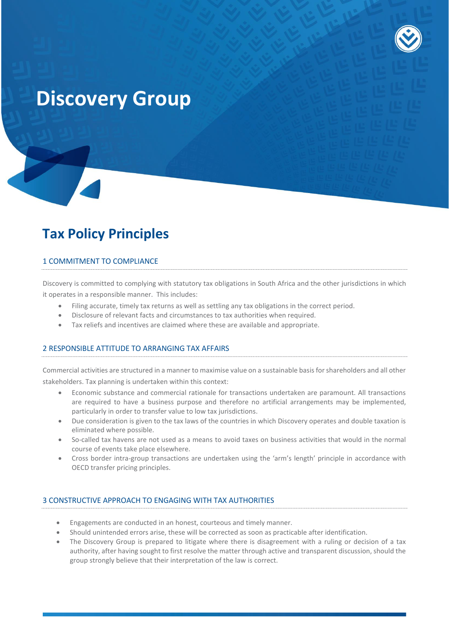

# **Discovery Group**

# **Tax Policy Principles**

#### 1 COMMITMENT TO COMPLIANCE

Discovery is committed to complying with statutory tax obligations in South Africa and the other jurisdictions in which it operates in a responsible manner. This includes:

- Filing accurate, timely tax returns as well as settling any tax obligations in the correct period.
- Disclosure of relevant facts and circumstances to tax authorities when required.
- Tax reliefs and incentives are claimed where these are available and appropriate.

#### 2 RESPONSIBLE ATTITUDE TO ARRANGING TAX AFFAIRS

Commercial activities are structured in a manner to maximise value on a sustainable basis for shareholders and all other stakeholders. Tax planning is undertaken within this context:

- Economic substance and commercial rationale for transactions undertaken are paramount. All transactions are required to have a business purpose and therefore no artificial arrangements may be implemented, particularly in order to transfer value to low tax jurisdictions.
- Due consideration is given to the tax laws of the countries in which Discovery operates and double taxation is eliminated where possible.
- So-called tax havens are not used as a means to avoid taxes on business activities that would in the normal course of events take place elsewhere.
- Cross border intra-group transactions are undertaken using the 'arm's length' principle in accordance with OECD transfer pricing principles.

## 3 CONSTRUCTIVE APPROACH TO ENGAGING WITH TAX AUTHORITIES

- Engagements are conducted in an honest, courteous and timely manner.
- Should unintended errors arise, these will be corrected as soon as practicable after identification.
- The Discovery Group is prepared to litigate where there is disagreement with a ruling or decision of a tax authority, after having sought to first resolve the matter through active and transparent discussion, should the group strongly believe that their interpretation of the law is correct.